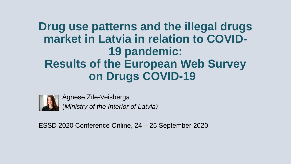### **Drug use patterns and the illegal drugs market in Latvia in relation to COVID-19 pandemic: Results of the European Web Survey on Drugs COVID-19**



Agnese Zīle-Veisberga (*Ministry of the Interior of Latvia)*

ESSD 2020 Conference Online, 24 – 25 September 2020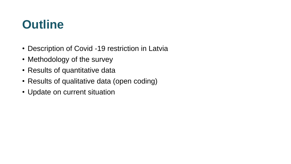### **Outline**

- Description of Covid -19 restriction in Latvia
- Methodology of the survey
- Results of quantitative data
- Results of qualitative data (open coding)
- Update on current situation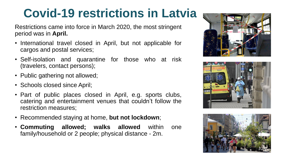## **Covid-19 restrictions in Latvia**

Restrictions came into force in March 2020, the most stringent period was in **April.**

- International travel closed in April, but not applicable for cargos and postal services;
- Self-isolation and quarantine for those who at risk (travelers, contact persons);
- Public gathering not allowed;
- Schools closed since April;
- Part of public places closed in April, e.g. sports clubs, catering and entertainment venues that couldn't follow the restriction measures;
- Recommended staying at home, **but not lockdown**;
- **Commuting allowed; walks allowed** within one family/household or 2 people; physical distance - 2m.





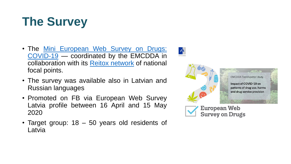# **The Survey**

- The Mini European Web Survey on Drugs: COVID-19 — [coordinated](https://ec.europa.eu/eusurvey/runner/Mini-EWSD-COVID-19) by the EMCDDA in collaboration with its Reitox [network](https://www.emcdda.europa.eu/about/partners) of national focal points.
- The survey was available also in Latvian and Russian languages
- Promoted on FB via European Web Survey Latvia profile between 16 April and 15 May 2020
- Target group: 18 50 years old residents of Latvia

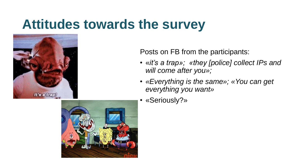## **Attitudes towards the survey**



Posts on FB from the participants:

- «*it's a trap»; «they [police] collect IPs and will come after you»;*
- *«Everything is the same»; «You can get everything you want»*
- «Seriously?»

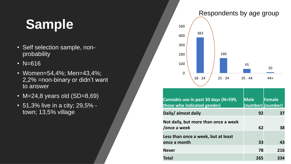# **Sample**

- Self selection sample, nonprobability
- N=616
- Women=54,4%; Men=43,4%; 2,2% =non-binary or didn't want to answer
- M=24,8 years old  $(SD=8,69)$
- 51,3% live in a city; 29,5% town; 13,5% village



| Cannabis use in past 30 days (N=599,<br>those who indicated gender) | <b>Male</b> | Female |
|---------------------------------------------------------------------|-------------|--------|
| Daily/ almost daily                                                 | 92          | 37     |
| Not daily, but more than once a week<br>/once a week                | 62          | 38     |
| Less than once a week, but at least<br>once a month                 | 33          | 43     |
| <b>Never</b>                                                        | 78          | 216    |
| Total                                                               | 265         | 334    |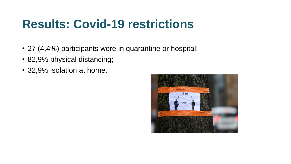### **Results: Covid-19 restrictions**

- 27 (4,4%) participants were in quarantine or hospital;
- 82,9% physical distancing;
- 32,9% isolation at home.

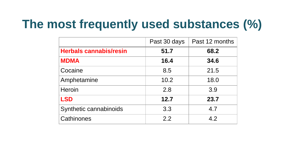## **The most frequently used substances (%)**

|                               | Past 30 days | Past 12 months |
|-------------------------------|--------------|----------------|
| <b>Herbals cannabis/resin</b> | 51.7         | 68.2           |
| <b>MDMA</b>                   | 16.4         | 34.6           |
| Cocaine                       | 8.5          | 21.5           |
| Amphetamine                   | 10.2         | 18.0           |
| <b>Heroin</b>                 | 2.8          | 3.9            |
| <b>LSD</b>                    | 12.7         | 23.7           |
| Synthetic cannabinoids        | 3.3          | 4.7            |
| Cathinones                    | 22           | 4.2            |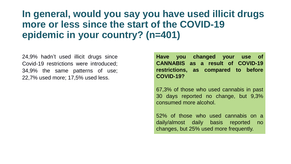#### **In general, would you say you have used illicit drugs more or less since the start of the COVID-19 epidemic in your country? (n=401)**

24,9% hadn't used illicit drugs since Covid-19 restrictions were introduced; 34,9% the same patterns of use; 22,7% used more; 17,5% used less.

**Have you changed your use of CANNABIS as a result of COVID-19 restrictions, as compared to before COVID-19?**

67,3% of those who used cannabis in past 30 days reported no change, but 9,3% consumed more alcohol.

52% of those who used cannabis on a daily/almost daily basis reported no changes, but 25% used more frequently.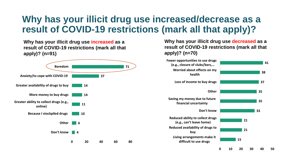#### **Why has your illicit drug use increased/decrease as a result of COVID-19 restrictions (mark all that apply)?**

**Why has your illicit drug use increased as a result of COVID-19 restrictions (mark all that apply)? (n=91)**



**Why has your illicit drug use decreased as a result of COVID-19 restrictions (mark all that apply)? (n=70)**

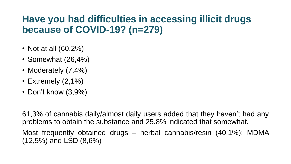#### **Have you had difficulties in accessing illicit drugs because of COVID-19? (n=279)**

- Not at all (60,2%)
- Somewhat (26,4%)
- Moderately (7,4%)
- Extremely (2,1%)
- Don't know (3,9%)

61,3% of cannabis daily/almost daily users added that they haven't had any problems to obtain the substance and 25,8% indicated that somewhat.

Most frequently obtained drugs – herbal cannabis/resin (40,1%); MDMA (12,5%) and LSD (8,6%)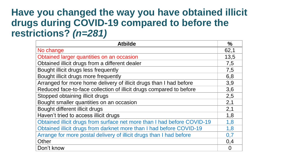#### **Have you changed the way you have obtained illicit drugs during COVID-19 compared to before the restrictions?** *(n=281)*

| <b>Atbilde</b>                                                          | $\%$           |
|-------------------------------------------------------------------------|----------------|
| No change                                                               | 62,1           |
| Obtained larger quantities on an occasion                               | 13,5           |
| Obtained illicit drugs from a different dealer                          | 7,5            |
| Bought illicit drugs less frequently                                    | 7,5            |
| Bought illicit drugs more frequently                                    | 6,8            |
| Arranged for more home delivery of illicit drugs than I had before      | 3,9            |
| Reduced face-to-face collection of illicit drugs compared to before     | 3,6            |
| Stopped obtaining illicit drugs                                         | 2,5            |
| Bought smaller quantities on an occasion                                | 2,1            |
| Bought different illicit drugs                                          | 2,1            |
| Haven't tried to access illicit drugs                                   | 1,8            |
| Obtained illicit drugs from surface net more than I had before COVID-19 | 1,8            |
| Obtained illicit drugs from darknet more than I had before COVID-19     | 1,8            |
| Arrange for more postal delivery of illicit drugs than I had before     |                |
| Other                                                                   | 0,4            |
| Don't know                                                              | $\overline{0}$ |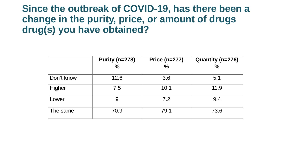#### **Since the outbreak of COVID-19, has there been a change in the purity, price, or amount of drugs drug(s) you have obtained?**

|            | Purity (n=278) | <b>Price (n=277)</b> | Quantity (n=276) |
|------------|----------------|----------------------|------------------|
|            | $\frac{0}{0}$  | $\frac{6}{6}$        | $\frac{0}{0}$    |
| Don't know | 12.6           | 3.6                  | 5.1              |
| Higher     | 7.5            | 10.1                 | 11.9             |
| Lower      | 9              | 7.2                  | 9.4              |
| The same   | 70.9           | 79.1                 | 73.6             |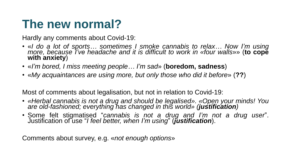### **The new normal?**

Hardly any comments about Covid-19:

- «*I do a lot of sports… sometimes I smoke cannabis to relax… Now I'm using more, because I've headache and it is difficult to work in «four walls*»» (**to cope with anxiety**)
- «*I'm bored, I miss meeting people… I'm sad*» (**boredom, sadness**)
- «*My acquaintances are using more, but only those who did it before*» (**??**)

Most of comments about legalisation, but not in relation to Covid-19:

- *«Herbal cannabis is not a drug and should be legalised». «Open your minds! You are old-fashioned; everything has changed in this world» (justification)*
- Some felt stigmatised "*cannabis is not a drug and I'm not a drug user*". Justification of use "*I feel better, when I'm using*" (*justification*).

Comments about survey, e.g. «*not enough options*»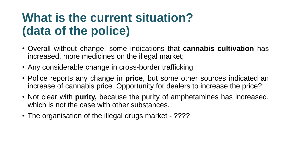### **What is the current situation? (data of the police)**

- Overall without change, some indications that **cannabis cultivation** has increased, more medicines on the illegal market;
- Any considerable change in cross-border trafficking;
- Police reports any change in **price**, but some other sources indicated an increase of cannabis price. Opportunity for dealers to increase the price?;
- Not clear with **purity,** because the purity of amphetamines has increased, which is not the case with other substances.
- The organisation of the illegal drugs market ????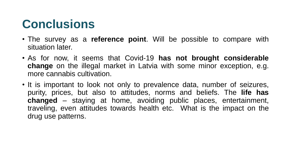### **Conclusions**

- The survey as a **reference point**. Will be possible to compare with situation later.
- As for now, it seems that Covid-19 **has not brought considerable change** on the illegal market in Latvia with some minor exception, e.g. more cannabis cultivation.
- It is important to look not only to prevalence data, number of seizures, purity, prices, but also to attitudes, norms and beliefs. The **life has changed** – staying at home, avoiding public places, entertainment, traveling, even attitudes towards health etc. What is the impact on the drug use patterns.